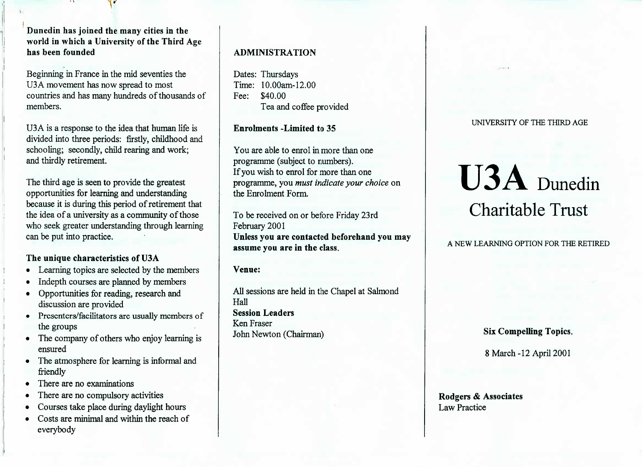**Dunedin has joined the many cities in the world in which a University of the Third Agehas been founded**

Beginning in France in the mid seventies theU3A movement has now spread to most countries and has many hundreds of thousands ofmembers.

USA is a response to the idea that human life is divided into three periods: firstly, childhood andschooling; secondly, child rearing and work;and thirdly retirement.

The third age is seen to provide the greatest opportunities for learning and understanding because it is during this period of retirement that the idea of a university as a community of those who seek greater understanding through learningcan be put into practice.

## **The unique characteristics of U3A**

- Learning topics are selected by the members
- Indepth courses are planned by members
- Opportunities for reading, research anddiscussion are provided
- Presenters/facilitators are usually members ofthe groups
- The company of others who enjoy learning isensured
- The atmosphere for learning is informal andfriendly
- There are no examinations
- There are no compulsory activities
- Courses take place during daylight hours
- Costs are minimal and within the reach ofeverybody

# **ADMINISTRATION**

Dates: Thursdays Time: 10.00am-12.00Fee: \$40.00Tea and coffee provided

**Enrolments -Limited to** 35

You are able to enrol in more than oneprogramme (subject to numbers). If you wish to enrol for more than one programme, you *must indicate your choice* onthe Enrolment Form.

To be received on or before Friday 23rdFebruary 2001 **Unless you are contacted beforehand you mayassume you are in the class.**

**Venue:**

All sessions are held in the Chapel at SalmondHall **Session Leaders**Ken FraserJohn Newton (Chairman)

UNIVERSITY OF THE THIRD AGE

# U3A Dunedin Charitable Trust

A NEW LEARNING OPTION FOR THE RETIRED

Six Compelling **Topics.**

8 March-12 April 2001

Rodgers & **Associates**Law Practice